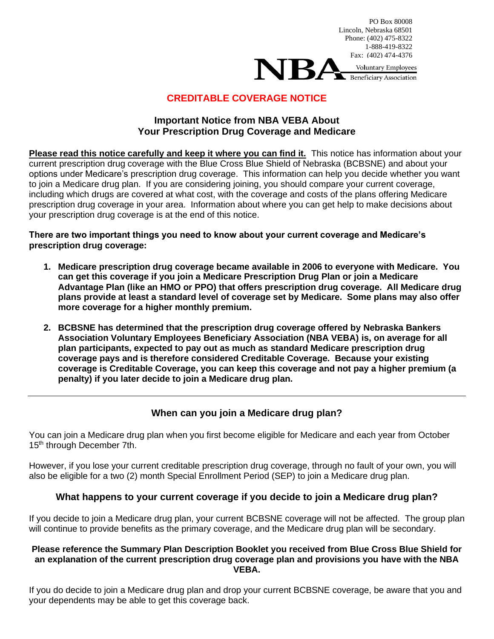

# **CREDITABLE COVERAGE NOTICE**

### **Important Notice from NBA VEBA About Your Prescription Drug Coverage and Medicare**

**Please read this notice carefully and keep it where you can find it.** This notice has information about your current prescription drug coverage with the Blue Cross Blue Shield of Nebraska (BCBSNE) and about your options under Medicare's prescription drug coverage. This information can help you decide whether you want to join a Medicare drug plan. If you are considering joining, you should compare your current coverage, including which drugs are covered at what cost, with the coverage and costs of the plans offering Medicare prescription drug coverage in your area. Information about where you can get help to make decisions about your prescription drug coverage is at the end of this notice.

**There are two important things you need to know about your current coverage and Medicare's prescription drug coverage:**

- **1. Medicare prescription drug coverage became available in 2006 to everyone with Medicare. You can get this coverage if you join a Medicare Prescription Drug Plan or join a Medicare Advantage Plan (like an HMO or PPO) that offers prescription drug coverage. All Medicare drug plans provide at least a standard level of coverage set by Medicare. Some plans may also offer more coverage for a higher monthly premium.**
- **2. BCBSNE has determined that the prescription drug coverage offered by Nebraska Bankers Association Voluntary Employees Beneficiary Association (NBA VEBA) is, on average for all plan participants, expected to pay out as much as standard Medicare prescription drug coverage pays and is therefore considered Creditable Coverage. Because your existing coverage is Creditable Coverage, you can keep this coverage and not pay a higher premium (a penalty) if you later decide to join a Medicare drug plan.**

# **When can you join a Medicare drug plan?**

You can join a Medicare drug plan when you first become eligible for Medicare and each year from October 15<sup>th</sup> through December 7th.

However, if you lose your current creditable prescription drug coverage, through no fault of your own, you will also be eligible for a two (2) month Special Enrollment Period (SEP) to join a Medicare drug plan.

# **What happens to your current coverage if you decide to join a Medicare drug plan?**

If you decide to join a Medicare drug plan, your current BCBSNE coverage will not be affected. The group plan will continue to provide benefits as the primary coverage, and the Medicare drug plan will be secondary.

#### **Please reference the Summary Plan Description Booklet you received from Blue Cross Blue Shield for an explanation of the current prescription drug coverage plan and provisions you have with the NBA VEBA.**

If you do decide to join a Medicare drug plan and drop your current BCBSNE coverage, be aware that you and your dependents may be able to get this coverage back.